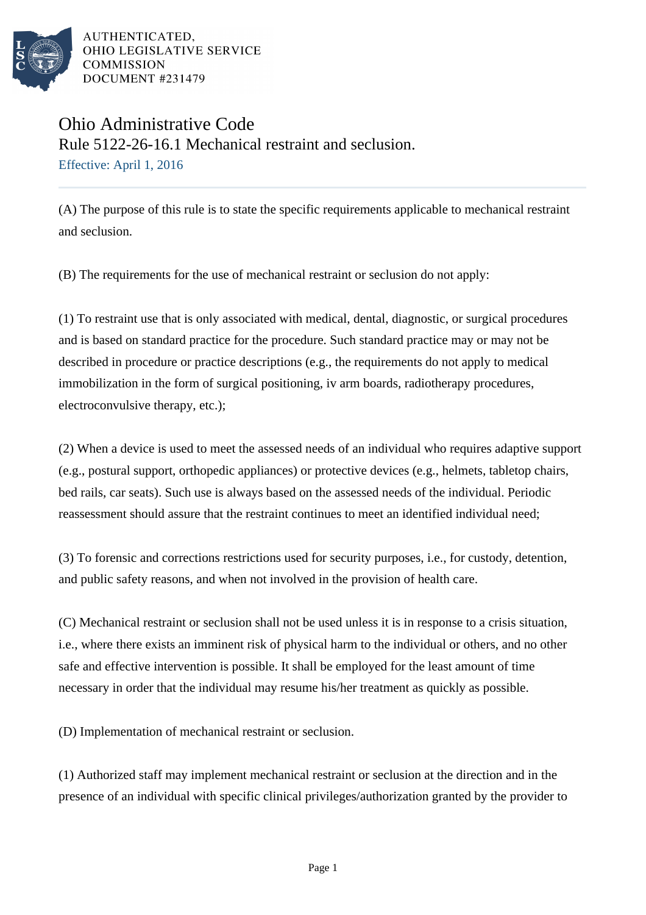

# Ohio Administrative Code Rule 5122-26-16.1 Mechanical restraint and seclusion. Effective: April 1, 2016

(A) The purpose of this rule is to state the specific requirements applicable to mechanical restraint and seclusion.

(B) The requirements for the use of mechanical restraint or seclusion do not apply:

(1) To restraint use that is only associated with medical, dental, diagnostic, or surgical procedures and is based on standard practice for the procedure. Such standard practice may or may not be described in procedure or practice descriptions (e.g., the requirements do not apply to medical immobilization in the form of surgical positioning, iv arm boards, radiotherapy procedures, electroconvulsive therapy, etc.);

(2) When a device is used to meet the assessed needs of an individual who requires adaptive support (e.g., postural support, orthopedic appliances) or protective devices (e.g., helmets, tabletop chairs, bed rails, car seats). Such use is always based on the assessed needs of the individual. Periodic reassessment should assure that the restraint continues to meet an identified individual need;

(3) To forensic and corrections restrictions used for security purposes, i.e., for custody, detention, and public safety reasons, and when not involved in the provision of health care.

(C) Mechanical restraint or seclusion shall not be used unless it is in response to a crisis situation, i.e., where there exists an imminent risk of physical harm to the individual or others, and no other safe and effective intervention is possible. It shall be employed for the least amount of time necessary in order that the individual may resume his/her treatment as quickly as possible.

(D) Implementation of mechanical restraint or seclusion.

(1) Authorized staff may implement mechanical restraint or seclusion at the direction and in the presence of an individual with specific clinical privileges/authorization granted by the provider to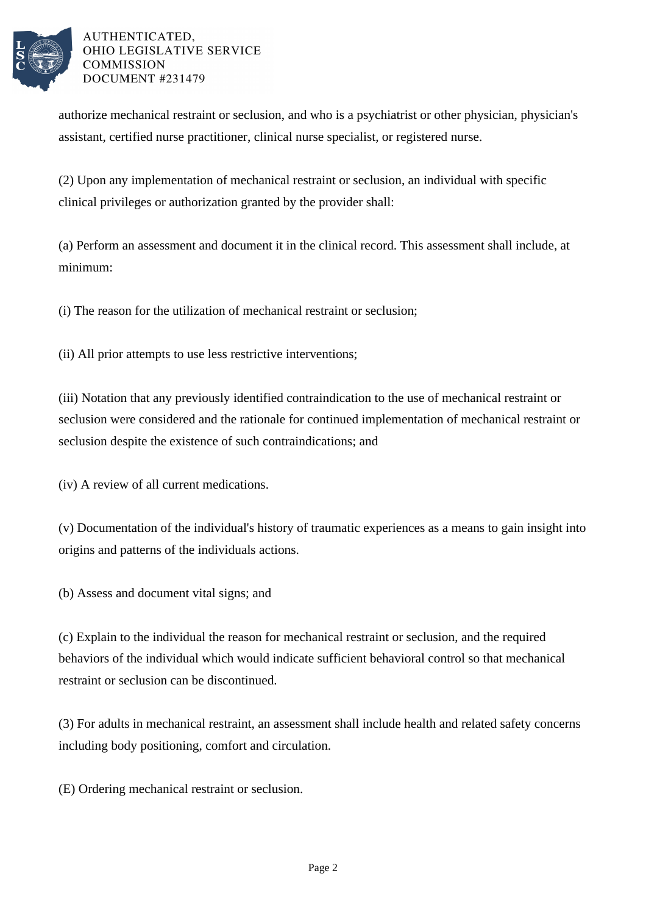

authorize mechanical restraint or seclusion, and who is a psychiatrist or other physician, physician's assistant, certified nurse practitioner, clinical nurse specialist, or registered nurse.

(2) Upon any implementation of mechanical restraint or seclusion, an individual with specific clinical privileges or authorization granted by the provider shall:

(a) Perform an assessment and document it in the clinical record. This assessment shall include, at minimum:

(i) The reason for the utilization of mechanical restraint or seclusion;

(ii) All prior attempts to use less restrictive interventions;

(iii) Notation that any previously identified contraindication to the use of mechanical restraint or seclusion were considered and the rationale for continued implementation of mechanical restraint or seclusion despite the existence of such contraindications; and

(iv) A review of all current medications.

(v) Documentation of the individual's history of traumatic experiences as a means to gain insight into origins and patterns of the individuals actions.

(b) Assess and document vital signs; and

(c) Explain to the individual the reason for mechanical restraint or seclusion, and the required behaviors of the individual which would indicate sufficient behavioral control so that mechanical restraint or seclusion can be discontinued.

(3) For adults in mechanical restraint, an assessment shall include health and related safety concerns including body positioning, comfort and circulation.

(E) Ordering mechanical restraint or seclusion.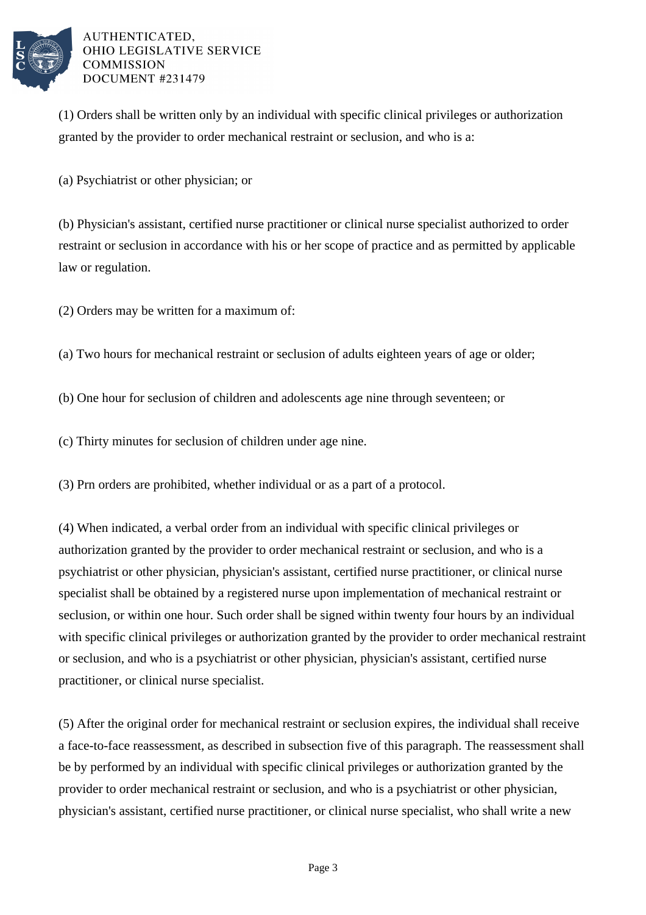

(1) Orders shall be written only by an individual with specific clinical privileges or authorization granted by the provider to order mechanical restraint or seclusion, and who is a:

(a) Psychiatrist or other physician; or

(b) Physician's assistant, certified nurse practitioner or clinical nurse specialist authorized to order restraint or seclusion in accordance with his or her scope of practice and as permitted by applicable law or regulation.

(2) Orders may be written for a maximum of:

- (a) Two hours for mechanical restraint or seclusion of adults eighteen years of age or older;
- (b) One hour for seclusion of children and adolescents age nine through seventeen; or

(c) Thirty minutes for seclusion of children under age nine.

(3) Prn orders are prohibited, whether individual or as a part of a protocol.

(4) When indicated, a verbal order from an individual with specific clinical privileges or authorization granted by the provider to order mechanical restraint or seclusion, and who is a psychiatrist or other physician, physician's assistant, certified nurse practitioner, or clinical nurse specialist shall be obtained by a registered nurse upon implementation of mechanical restraint or seclusion, or within one hour. Such order shall be signed within twenty four hours by an individual with specific clinical privileges or authorization granted by the provider to order mechanical restraint or seclusion, and who is a psychiatrist or other physician, physician's assistant, certified nurse practitioner, or clinical nurse specialist.

(5) After the original order for mechanical restraint or seclusion expires, the individual shall receive a face-to-face reassessment, as described in subsection five of this paragraph. The reassessment shall be by performed by an individual with specific clinical privileges or authorization granted by the provider to order mechanical restraint or seclusion, and who is a psychiatrist or other physician, physician's assistant, certified nurse practitioner, or clinical nurse specialist, who shall write a new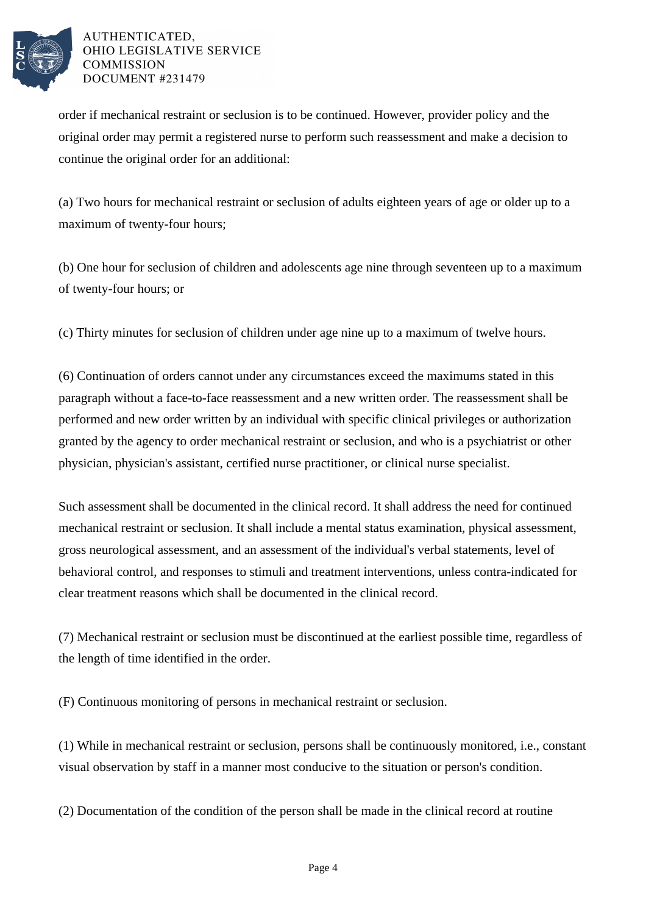

order if mechanical restraint or seclusion is to be continued. However, provider policy and the original order may permit a registered nurse to perform such reassessment and make a decision to continue the original order for an additional:

(a) Two hours for mechanical restraint or seclusion of adults eighteen years of age or older up to a maximum of twenty-four hours;

(b) One hour for seclusion of children and adolescents age nine through seventeen up to a maximum of twenty-four hours; or

(c) Thirty minutes for seclusion of children under age nine up to a maximum of twelve hours.

(6) Continuation of orders cannot under any circumstances exceed the maximums stated in this paragraph without a face-to-face reassessment and a new written order. The reassessment shall be performed and new order written by an individual with specific clinical privileges or authorization granted by the agency to order mechanical restraint or seclusion, and who is a psychiatrist or other physician, physician's assistant, certified nurse practitioner, or clinical nurse specialist.

Such assessment shall be documented in the clinical record. It shall address the need for continued mechanical restraint or seclusion. It shall include a mental status examination, physical assessment, gross neurological assessment, and an assessment of the individual's verbal statements, level of behavioral control, and responses to stimuli and treatment interventions, unless contra-indicated for clear treatment reasons which shall be documented in the clinical record.

(7) Mechanical restraint or seclusion must be discontinued at the earliest possible time, regardless of the length of time identified in the order.

(F) Continuous monitoring of persons in mechanical restraint or seclusion.

(1) While in mechanical restraint or seclusion, persons shall be continuously monitored, i.e., constant visual observation by staff in a manner most conducive to the situation or person's condition.

(2) Documentation of the condition of the person shall be made in the clinical record at routine